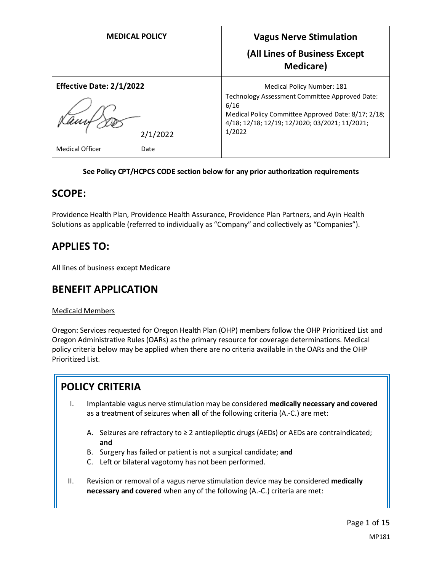| <b>MEDICAL POLICY</b>           | <b>Vagus Nerve Stimulation</b><br>(All Lines of Business Except<br><b>Medicare</b> )                                                                                      |
|---------------------------------|---------------------------------------------------------------------------------------------------------------------------------------------------------------------------|
| <b>Effective Date: 2/1/2022</b> | Medical Policy Number: 181                                                                                                                                                |
| 2/1/2022                        | Technology Assessment Committee Approved Date:<br>6/16<br>Medical Policy Committee Approved Date: 8/17; 2/18;<br>4/18; 12/18; 12/19; 12/2020; 03/2021; 11/2021;<br>1/2022 |
| Medical Officer<br>Date         |                                                                                                                                                                           |

#### **See Policy CPT/HCPCS CODE section below for any prior authorization requirements**

### **SCOPE:**

Providence Health Plan, Providence Health Assurance, Providence Plan Partners, and Ayin Health Solutions as applicable (referred to individually as "Company" and collectively as "Companies").

# **APPLIES TO:**

All lines of business except Medicare

### **BENEFIT APPLICATION**

#### Medicaid Members

Oregon: Services requested for Oregon Health Plan (OHP) members follow the OHP Prioritized List and Oregon Administrative Rules (OARs) as the primary resource for coverage determinations. Medical policy criteria below may be applied when there are no criteria available in the OARs and the OHP Prioritized List.

### **POLICY CRITERIA**

- I. Implantable vagus nerve stimulation may be considered **medically necessary and covered** as a treatment of seizures when **all** of the following criteria (A.-C.) are met:
	- A. Seizures are refractory to  $\geq 2$  antiepileptic drugs (AEDs) or AEDs are contraindicated; **and**
	- B. Surgery has failed or patient is not a surgical candidate; **and**
	- C. Left or bilateral vagotomy has not been performed.
- II. Revision or removal of a vagus nerve stimulation device may be considered **medically necessary and covered** when any of the following (A.-C.) criteria are met: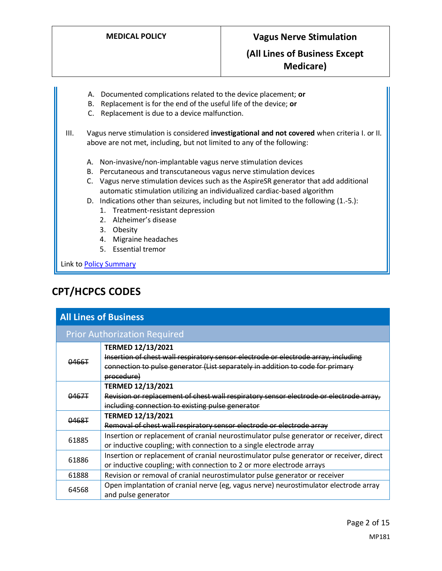- A. Documented complications related to the device placement; **or**
- B. Replacement is for the end of the useful life of the device; **or**
- C. Replacement is due to a device malfunction.
- III. Vagus nerve stimulation is considered **investigational and not covered** when criteria I. or II. above are not met, including, but not limited to any of the following:
	- A. Non-invasive/non-implantable vagus nerve stimulation devices
	- B. Percutaneous and transcutaneous vagus nerve stimulation devices
	- C. Vagus nerve stimulation devices such as the AspireSR generator that add additional automatic stimulation utilizing an individualized cardiac-based algorithm
	- D. Indications other than seizures, including but not limited to the following (1.-5.):
		- 1. Treatment-resistant depression
		- 2. Alzheimer's disease
		- 3. Obesity
		- 4. Migraine headaches
		- 5. Essential tremor

Link to Policy Summary

### **CPT/HCPCS CODES**

| <b>All Lines of Business</b>        |                                                                                                                                                                                                                |  |  |
|-------------------------------------|----------------------------------------------------------------------------------------------------------------------------------------------------------------------------------------------------------------|--|--|
| <b>Prior Authorization Required</b> |                                                                                                                                                                                                                |  |  |
| 0466T                               | <b>TERMED 12/13/2021</b><br>Insertion of chest wall respiratory sensor electrode or electrode array, including<br>connection to pulse generator (List separately in addition to code for primary<br>procedure) |  |  |
| 0467T                               | <b>TERMED 12/13/2021</b><br>Revision or replacement of chest wall respiratory sensor electrode or electrode array,<br>including connection to existing pulse generator                                         |  |  |
| 0468T                               | <b>TERMED 12/13/2021</b><br>Removal of chest wall respiratory sensor electrode or electrode array                                                                                                              |  |  |
| 61885                               | Insertion or replacement of cranial neurostimulator pulse generator or receiver, direct<br>or inductive coupling; with connection to a single electrode array                                                  |  |  |
| 61886                               | Insertion or replacement of cranial neurostimulator pulse generator or receiver, direct<br>or inductive coupling; with connection to 2 or more electrode arrays                                                |  |  |
| 61888                               | Revision or removal of cranial neurostimulator pulse generator or receiver                                                                                                                                     |  |  |
| 64568                               | Open implantation of cranial nerve (eg, vagus nerve) neurostimulator electrode array<br>and pulse generator                                                                                                    |  |  |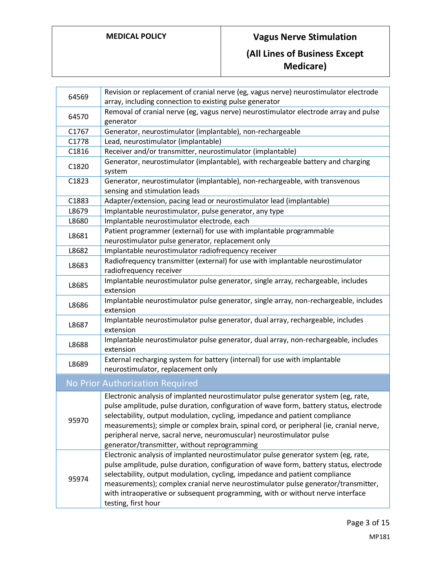# **MEDICAL POLICY Vagus Nerve Stimulation**

# **(All Lines of Business Except Medicare)**

| 64569 | Revision or replacement of cranial nerve (eg, vagus nerve) neurostimulator electrode<br>array, including connection to existing pulse generator                                                                                                                                                                                                                                                                                                                               |  |  |
|-------|-------------------------------------------------------------------------------------------------------------------------------------------------------------------------------------------------------------------------------------------------------------------------------------------------------------------------------------------------------------------------------------------------------------------------------------------------------------------------------|--|--|
| 64570 | Removal of cranial nerve (eg, vagus nerve) neurostimulator electrode array and pulse<br>generator                                                                                                                                                                                                                                                                                                                                                                             |  |  |
| C1767 | Generator, neurostimulator (implantable), non-rechargeable                                                                                                                                                                                                                                                                                                                                                                                                                    |  |  |
| C1778 | Lead, neurostimulator (implantable)                                                                                                                                                                                                                                                                                                                                                                                                                                           |  |  |
| C1816 | Receiver and/or transmitter, neurostimulator (implantable)                                                                                                                                                                                                                                                                                                                                                                                                                    |  |  |
| C1820 | Generator, neurostimulator (implantable), with rechargeable battery and charging<br>system                                                                                                                                                                                                                                                                                                                                                                                    |  |  |
| C1823 | Generator, neurostimulator (implantable), non-rechargeable, with transvenous<br>sensing and stimulation leads                                                                                                                                                                                                                                                                                                                                                                 |  |  |
| C1883 | Adapter/extension, pacing lead or neurostimulator lead (implantable)                                                                                                                                                                                                                                                                                                                                                                                                          |  |  |
| L8679 | Implantable neurostimulator, pulse generator, any type                                                                                                                                                                                                                                                                                                                                                                                                                        |  |  |
| L8680 | Implantable neurostimulator electrode, each                                                                                                                                                                                                                                                                                                                                                                                                                                   |  |  |
| L8681 | Patient programmer (external) for use with implantable programmable<br>neurostimulator pulse generator, replacement only                                                                                                                                                                                                                                                                                                                                                      |  |  |
| L8682 | Implantable neurostimulator radiofrequency receiver                                                                                                                                                                                                                                                                                                                                                                                                                           |  |  |
| L8683 | Radiofrequency transmitter (external) for use with implantable neurostimulator<br>radiofrequency receiver                                                                                                                                                                                                                                                                                                                                                                     |  |  |
| L8685 | Implantable neurostimulator pulse generator, single array, rechargeable, includes<br>extension                                                                                                                                                                                                                                                                                                                                                                                |  |  |
| L8686 | Implantable neurostimulator pulse generator, single array, non-rechargeable, includes<br>extension                                                                                                                                                                                                                                                                                                                                                                            |  |  |
| L8687 | Implantable neurostimulator pulse generator, dual array, rechargeable, includes<br>extension                                                                                                                                                                                                                                                                                                                                                                                  |  |  |
| L8688 | Implantable neurostimulator pulse generator, dual array, non-rechargeable, includes<br>extension                                                                                                                                                                                                                                                                                                                                                                              |  |  |
| L8689 | External recharging system for battery (internal) for use with implantable<br>neurostimulator, replacement only                                                                                                                                                                                                                                                                                                                                                               |  |  |
|       | No Prior Authorization Required                                                                                                                                                                                                                                                                                                                                                                                                                                               |  |  |
| 95970 | Electronic analysis of implanted neurostimulator pulse generator system (eg, rate,<br>pulse amplitude, pulse duration, configuration of wave form, battery status, electrode<br>selectability, output modulation, cycling, impedance and patient compliance<br>measurements); simple or complex brain, spinal cord, or peripheral (ie, cranial nerve,<br>peripheral nerve, sacral nerve, neuromuscular) neurostimulator pulse<br>generator/transmitter, without reprogramming |  |  |
| 95974 | Electronic analysis of implanted neurostimulator pulse generator system (eg, rate,<br>pulse amplitude, pulse duration, configuration of wave form, battery status, electrode<br>selectability, output modulation, cycling, impedance and patient compliance<br>measurements); complex cranial nerve neurostimulator pulse generator/transmitter,<br>with intraoperative or subsequent programming, with or without nerve interface<br>testing, first hour                     |  |  |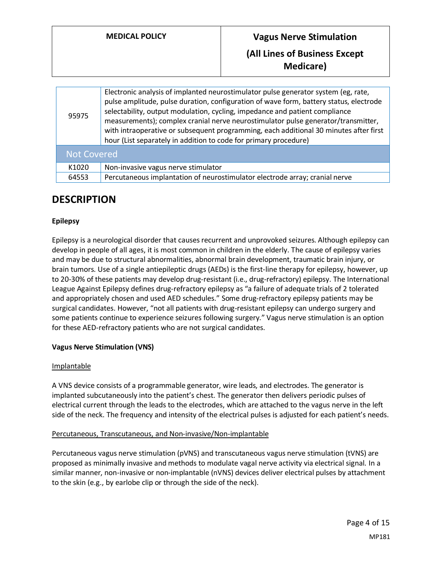# **Medical Policy Collection Vagus Nerve Stimulation (All Lines of Business Except Medicare)**

| 95975              | Electronic analysis of implanted neurostimulator pulse generator system (eg, rate,<br>pulse amplitude, pulse duration, configuration of wave form, battery status, electrode<br>selectability, output modulation, cycling, impedance and patient compliance<br>measurements); complex cranial nerve neurostimulator pulse generator/transmitter,<br>with intraoperative or subsequent programming, each additional 30 minutes after first<br>hour (List separately in addition to code for primary procedure) |  |
|--------------------|---------------------------------------------------------------------------------------------------------------------------------------------------------------------------------------------------------------------------------------------------------------------------------------------------------------------------------------------------------------------------------------------------------------------------------------------------------------------------------------------------------------|--|
| <b>Not Covered</b> |                                                                                                                                                                                                                                                                                                                                                                                                                                                                                                               |  |
| K1020              | Non-invasive vagus nerve stimulator                                                                                                                                                                                                                                                                                                                                                                                                                                                                           |  |
| 64553              | Percutaneous implantation of neurostimulator electrode array; cranial nerve                                                                                                                                                                                                                                                                                                                                                                                                                                   |  |

### **DESCRIPTION**

### **Epilepsy**

Epilepsy is a neurological disorder that causes recurrent and unprovoked seizures. Although epilepsy can develop in people of all ages, it is most common in children in the elderly. The cause of epilepsy varies and may be due to structural abnormalities, abnormal brain development, traumatic brain injury, or brain tumors. Use of a single antiepileptic drugs (AEDs) is the first-line therapy for epilepsy, however, up to 20-30% of these patients may develop drug-resistant (i.e., drug-refractory) epilepsy. The International League Against Epilepsy defines drug-refractory epilepsy as "a failure of adequate trials of 2 tolerated and appropriately chosen and used AED schedules." Some drug-refractory epilepsy patients may be surgical candidates. However, "not all patients with drug-resistant epilepsy can undergo surgery and some patients continue to experience seizures following surgery." Vagus nerve stimulation is an option for these AED-refractory patients who are not surgical candidates.

#### **Vagus Nerve Stimulation (VNS)**

#### Implantable

A VNS device consists of a programmable generator, wire leads, and electrodes. The generator is implanted subcutaneously into the patient's chest. The generator then delivers periodic pulses of electrical current through the leads to the electrodes, which are attached to the vagus nerve in the left side of the neck. The frequency and intensity of the electrical pulses is adjusted for each patient's needs.

#### Percutaneous, Transcutaneous, and Non-invasive/Non-implantable

Percutaneous vagus nerve stimulation (pVNS) and transcutaneous vagus nerve stimulation (tVNS) are proposed as minimally invasive and methods to modulate vagal nerve activity via electrical signal. In a similar manner, non-invasive or non-implantable (nVNS) devices deliver electrical pulses by attachment to the skin (e.g., by earlobe clip or through the side of the neck).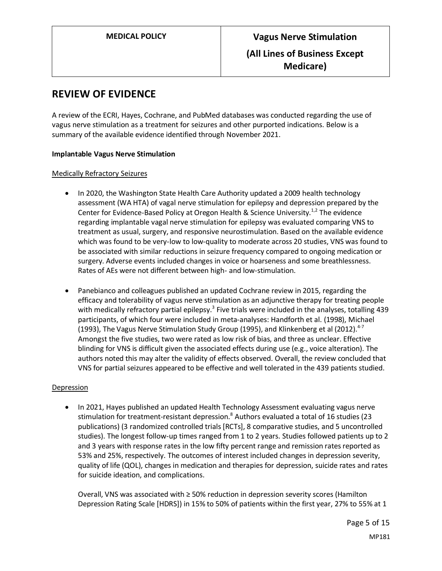### **REVIEW OF EVIDENCE**

A review of the ECRI, Hayes, Cochrane, and PubMed databases was conducted regarding the use of vagus nerve stimulation as a treatment for seizures and other purported indications. Below is a summary of the available evidence identified through November 2021.

#### **Implantable Vagus Nerve Stimulation**

#### Medically Refractory Seizures

- In 2020, the Washington State Health Care Authority updated a 2009 health technology assessment (WA HTA) of vagal nerve stimulation for epilepsy and depression prepared by the Center for Evidence-Based Policy at Oregon Health & Science University.<sup>1,2</sup> The evidence regarding implantable vagal nerve stimulation for epilepsy was evaluated comparing VNS to treatment as usual, surgery, and responsive neurostimulation. Based on the available evidence which was found to be very-low to low-quality to moderate across 20 studies, VNS was found to be associated with similar reductions in seizure frequency compared to ongoing medication or surgery. Adverse events included changes in voice or hoarseness and some breathlessness. Rates of AEs were not different between high- and low-stimulation.
- Panebianco and colleagues published an updated Cochrane review in 2015, regarding the efficacy and tolerability of vagus nerve stimulation as an adjunctive therapy for treating people with medically refractory partial epilepsy.<sup>3</sup> Five trials were included in the analyses, totalling 439 participants, of which four were included in meta-analyses: Handforth et al. (1998), Michael (1993), The Vagus Nerve Stimulation Study Group (1995), and Klinkenberg et al (2012).<sup>4-7</sup> Amongst the five studies, two were rated as low risk of bias, and three as unclear. Effective blinding for VNS is difficult given the associated effects during use (e.g., voice alteration). The authors noted this may alter the validity of effects observed. Overall, the review concluded that VNS for partial seizures appeared to be effective and well tolerated in the 439 patients studied.

#### Depression

• In 2021, Hayes published an updated Health Technology Assessment evaluating vagus nerve stimulation for treatment-resistant depression.<sup>8</sup> Authors evaluated a total of 16 studies (23 publications) (3 randomized controlled trials [RCTs], 8 comparative studies, and 5 uncontrolled studies). The longest follow-up times ranged from 1 to 2 years. Studies followed patients up to 2 and 3 years with response rates in the low fifty percent range and remission rates reported as 53% and 25%, respectively. The outcomes of interest included changes in depression severity, quality of life (QOL), changes in medication and therapies for depression, suicide rates and rates for suicide ideation, and complications.

Overall, VNS was associated with ≥ 50% reduction in depression severity scores (Hamilton Depression Rating Scale [HDRS]) in 15% to 50% of patients within the first year, 27% to 55% at 1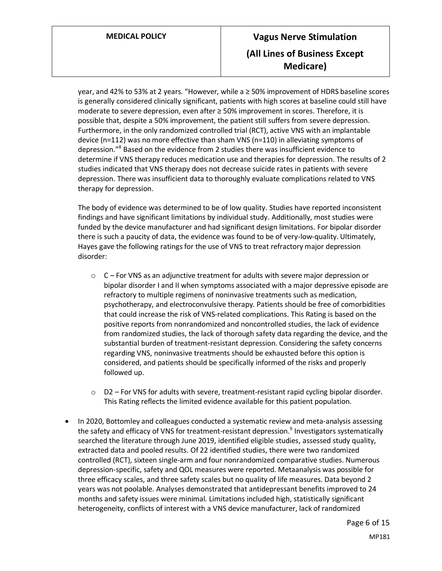# **MEDICAL POLICY Vagus Nerve Stimulation (All Lines of Business Except Medicare)**

year, and 42% to 53% at 2 years. "However, while a ≥ 50% improvement of HDRS baseline scores is generally considered clinically significant, patients with high scores at baseline could still have moderate to severe depression, even after ≥ 50% improvement in scores. Therefore, it is possible that, despite a 50% improvement, the patient still suffers from severe depression. Furthermore, in the only randomized controlled trial (RCT), active VNS with an implantable device (n=112) was no more effective than sham VNS (n=110) in alleviating symptoms of depression."<sup>8</sup> Based on the evidence from 2 studies there was insufficient evidence to determine if VNS therapy reduces medication use and therapies for depression. The results of 2 studies indicated that VNS therapy does not decrease suicide rates in patients with severe depression. There was insufficient data to thoroughly evaluate complications related to VNS therapy for depression.

The body of evidence was determined to be of low quality. Studies have reported inconsistent findings and have significant limitations by individual study. Additionally, most studies were funded by the device manufacturer and had significant design limitations. For bipolar disorder there is such a paucity of data, the evidence was found to be of very-low-quality. Ultimately, Hayes gave the following ratings for the use of VNS to treat refractory major depression disorder:

- $\circ$  C For VNS as an adjunctive treatment for adults with severe major depression or bipolar disorder I and II when symptoms associated with a major depressive episode are refractory to multiple regimens of noninvasive treatments such as medication, psychotherapy, and electroconvulsive therapy. Patients should be free of comorbidities that could increase the risk of VNS-related complications. This Rating is based on the positive reports from nonrandomized and noncontrolled studies, the lack of evidence from randomized studies, the lack of thorough safety data regarding the device, and the substantial burden of treatment-resistant depression. Considering the safety concerns regarding VNS, noninvasive treatments should be exhausted before this option is considered, and patients should be specifically informed of the risks and properly followed up.
- $\circ$  D2 For VNS for adults with severe, treatment-resistant rapid cycling bipolar disorder. This Rating reflects the limited evidence available for this patient population.
- In 2020, Bottomley and colleagues conducted a systematic review and meta-analysis assessing the safety and efficacy of VNS for treatment-resistant depression.<sup>9</sup> Investigators systematically searched the literature through June 2019, identified eligible studies, assessed study quality, extracted data and pooled results. Of 22 identified studies, there were two randomized controlled (RCT), sixteen single-arm and four nonrandomized comparative studies. Numerous depression-specific, safety and QOL measures were reported. Metaanalysis was possible for three efficacy scales, and three safety scales but no quality of life measures. Data beyond 2 years was not poolable. Analyses demonstrated that antidepressant benefits improved to 24 months and safety issues were minimal. Limitations included high, statistically significant heterogeneity, conflicts of interest with a VNS device manufacturer, lack of randomized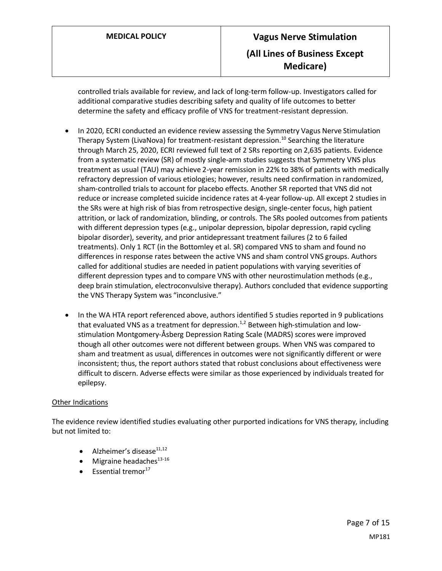controlled trials available for review, and lack of long-term follow-up. Investigators called for additional comparative studies describing safety and quality of life outcomes to better determine the safety and efficacy profile of VNS for treatment-resistant depression.

- In 2020, ECRI conducted an evidence review assessing the Symmetry Vagus Nerve Stimulation Therapy System (LivaNova) for treatment-resistant depression.<sup>10</sup> Searching the literature through March 25, 2020, ECRI reviewed full text of 2 SRs reporting on 2,635 patients. Evidence from a systematic review (SR) of mostly single-arm studies suggests that Symmetry VNS plus treatment as usual (TAU) may achieve 2-year remission in 22% to 38% of patients with medically refractory depression of various etiologies; however, results need confirmation in randomized, sham-controlled trials to account for placebo effects. Another SR reported that VNS did not reduce or increase completed suicide incidence rates at 4-year follow-up. All except 2 studies in the SRs were at high risk of bias from retrospective design, single-center focus, high patient attrition, or lack of randomization, blinding, or controls. The SRs pooled outcomes from patients with different depression types (e.g., unipolar depression, bipolar depression, rapid cycling bipolar disorder), severity, and prior antidepressant treatment failures (2 to 6 failed treatments). Only 1 RCT (in the Bottomley et al. SR) compared VNS to sham and found no differences in response rates between the active VNS and sham control VNS groups. Authors called for additional studies are needed in patient populations with varying severities of different depression types and to compare VNS with other neurostimulation methods (e.g., deep brain stimulation, electroconvulsive therapy). Authors concluded that evidence supporting the VNS Therapy System was "inconclusive."
- In the WA HTA report referenced above, authors identified 5 studies reported in 9 publications that evaluated VNS as a treatment for depression. $1/2$  Between high-stimulation and lowstimulation Montgomery-Åsberg Depression Rating Scale (MADRS) scores were improved though all other outcomes were not different between groups. When VNS was compared to sham and treatment as usual, differences in outcomes were not significantly different or were inconsistent; thus, the report authors stated that robust conclusions about effectiveness were difficult to discern. Adverse effects were similar as those experienced by individuals treated for epilepsy.

#### Other Indications

The evidence review identified studies evaluating other purported indications for VNS therapy, including but not limited to:

- Alzheimer's disease $^{11,12}$
- Migraine headaches $^{13-16}$
- $\bullet$  Essential tremor<sup>17</sup>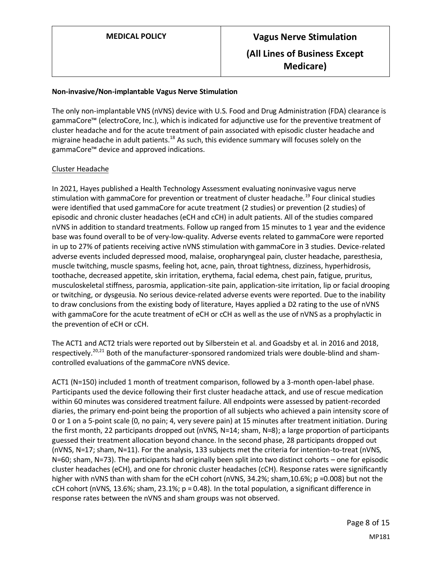#### **Non-invasive/Non-implantable Vagus Nerve Stimulation**

The only non-implantable VNS (nVNS) device with U.S. Food and Drug Administration (FDA) clearance is gammaCore™ (electroCore, Inc.), which is indicated for adjunctive use for the preventive treatment of cluster headache and for the acute treatment of pain associated with episodic cluster headache and migraine headache in adult patients.<sup>18</sup> As such, this evidence summary will focuses solely on the gammaCore™ device and approved indications.

#### Cluster Headache

In 2021, Hayes published a Health Technology Assessment evaluating noninvasive vagus nerve stimulation with gammaCore for prevention or treatment of cluster headache.<sup>19</sup> Four clinical studies were identified that used gammaCore for acute treatment (2 studies) or prevention (2 studies) of episodic and chronic cluster headaches (eCH and cCH) in adult patients. All of the studies compared nVNS in addition to standard treatments. Follow up ranged from 15 minutes to 1 year and the evidence base was found overall to be of very-low-quality. Adverse events related to gammaCore were reported in up to 27% of patients receiving active nVNS stimulation with gammaCore in 3 studies. Device-related adverse events included depressed mood, malaise, oropharyngeal pain, cluster headache, paresthesia, muscle twitching, muscle spasms, feeling hot, acne, pain, throat tightness, dizziness, hyperhidrosis, toothache, decreased appetite, skin irritation, erythema, facial edema, chest pain, fatigue, pruritus, musculoskeletal stiffness, parosmia, application-site pain, application-site irritation, lip or facial drooping or twitching, or dysgeusia. No serious device-related adverse events were reported. Due to the inability to draw conclusions from the existing body of literature, Hayes applied a D2 rating to the use of nVNS with gammaCore for the acute treatment of eCH or cCH as well as the use of nVNS as a prophylactic in the prevention of eCH or cCH.

The ACT1 and ACT2 trials were reported out by Silberstein et al. and Goadsby et al. in 2016 and 2018, respectively.<sup>20,21</sup> Both of the manufacturer-sponsored randomized trials were double-blind and shamcontrolled evaluations of the gammaCore nVNS device.

ACT1 (N=150) included 1 month of treatment comparison, followed by a 3-month open-label phase. Participants used the device following their first cluster headache attack, and use of rescue medication within 60 minutes was considered treatment failure. All endpoints were assessed by patient-recorded diaries, the primary end-point being the proportion of all subjects who achieved a pain intensity score of 0 or 1 on a 5‐point scale (0, no pain; 4, very severe pain) at 15 minutes after treatment initiation. During the first month, 22 participants dropped out (nVNS, N=14; sham, N=8); a large proportion of participants guessed their treatment allocation beyond chance. In the second phase, 28 participants dropped out (nVNS, N=17; sham, N=11). For the analysis, 133 subjects met the criteria for intention-to-treat (nVNS, N=60; sham, N=73). The participants had originally been split into two distinct cohorts – one for episodic cluster headaches (eCH), and one for chronic cluster headaches (cCH). Response rates were significantly higher with nVNS than with sham for the eCH cohort (nVNS, 34.2%; sham, 10.6%; p =0.008) but not the cCH cohort (nVNS, 13.6%; sham, 23.1%;  $p = 0.48$ ). In the total population, a significant difference in response rates between the nVNS and sham groups was not observed.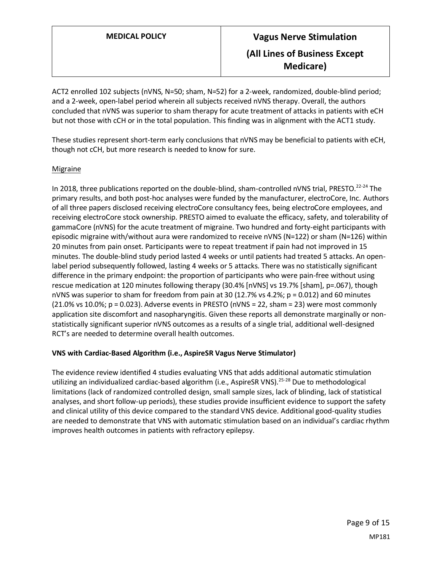ACT2 enrolled 102 subjects (nVNS, N=50; sham, N=52) for a 2-week, randomized, double-blind period; and a 2-week, open-label period wherein all subjects received nVNS therapy. Overall, the authors concluded that nVNS was superior to sham therapy for acute treatment of attacks in patients with eCH but not those with cCH or in the total population. This finding was in alignment with the ACT1 study.

These studies represent short-term early conclusions that nVNS may be beneficial to patients with eCH, though not cCH, but more research is needed to know for sure.

#### Migraine

In 2018, three publications reported on the double-blind, sham-controlled nVNS trial, PRESTO.<sup>22-24</sup> The primary results, and both post-hoc analyses were funded by the manufacturer, electroCore, Inc. Authors of all three papers disclosed receiving electroCore consultancy fees, being electroCore employees, and receiving electroCore stock ownership. PRESTO aimed to evaluate the efficacy, safety, and tolerability of gammaCore (nVNS) for the acute treatment of migraine. Two hundred and forty-eight participants with episodic migraine with/without aura were randomized to receive nVNS (N=122) or sham (N=126) within 20 minutes from pain onset. Participants were to repeat treatment if pain had not improved in 15 minutes. The double-blind study period lasted 4 weeks or until patients had treated 5 attacks. An openlabel period subsequently followed, lasting 4 weeks or 5 attacks. There was no statistically significant difference in the primary endpoint: the proportion of participants who were pain-free without using rescue medication at 120 minutes following therapy (30.4% [nVNS] vs 19.7% [sham], p=.067), though nVNS was superior to sham for freedom from pain at 30 (12.7% vs 4.2%; p = 0.012) and 60 minutes (21.0% vs 10.0%; p = 0.023). Adverse events in PRESTO (nVNS = 22, sham = 23) were most commonly application site discomfort and nasopharyngitis. Given these reports all demonstrate marginally or nonstatistically significant superior nVNS outcomes as a results of a single trial, additional well-designed RCT's are needed to determine overall health outcomes.

#### **VNS with Cardiac-Based Algorithm (i.e., AspireSR Vagus Nerve Stimulator)**

The evidence review identified 4 studies evaluating VNS that adds additional automatic stimulation utilizing an individualized cardiac-based algorithm (i.e., AspireSR VNS).<sup>25-28</sup> Due to methodological limitations (lack of randomized controlled design, small sample sizes, lack of blinding, lack of statistical analyses, and short follow-up periods), these studies provide insufficient evidence to support the safety and clinical utility of this device compared to the standard VNS device. Additional good-quality studies are needed to demonstrate that VNS with automatic stimulation based on an individual's cardiac rhythm improves health outcomes in patients with refractory epilepsy.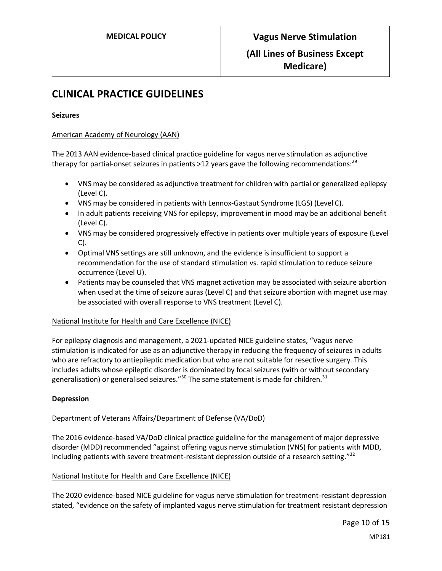## **CLINICAL PRACTICE GUIDELINES**

#### **Seizures**

#### American Academy of Neurology (AAN)

The 2013 AAN evidence-based clinical practice guideline for vagus nerve stimulation as adjunctive therapy for partial-onset seizures in patients  $>12$  years gave the following recommendations:<sup>29</sup>

- VNS may be considered as adjunctive treatment for children with partial or generalized epilepsy (Level C).
- VNS may be considered in patients with Lennox-Gastaut Syndrome (LGS) (Level C).
- In adult patients receiving VNS for epilepsy, improvement in mood may be an additional benefit (Level C).
- VNS may be considered progressively effective in patients over multiple years of exposure (Level C).
- Optimal VNS settings are still unknown, and the evidence is insufficient to support a recommendation for the use of standard stimulation vs. rapid stimulation to reduce seizure occurrence (Level U).
- Patients may be counseled that VNS magnet activation may be associated with seizure abortion when used at the time of seizure auras (Level C) and that seizure abortion with magnet use may be associated with overall response to VNS treatment (Level C).

#### National Institute for Health and Care Excellence (NICE)

For epilepsy diagnosis and management, a 2021-updated NICE guideline states, "Vagus nerve stimulation is indicated for use as an adjunctive therapy in reducing the frequency of seizures in adults who are refractory to antiepileptic medication but who are not suitable for resective surgery. This includes adults whose epileptic disorder is dominated by focal seizures (with or without secondary generalisation) or generalised seizures. $130$  The same statement is made for children.<sup>31</sup>

#### **Depression**

#### Department of Veterans Affairs/Department of Defense (VA/DoD)

The 2016 evidence-based VA/DoD clinical practice guideline for the management of major depressive disorder (MDD) recommended "against offering vagus nerve stimulation (VNS) for patients with MDD, including patients with severe treatment-resistant depression outside of a research setting.<sup>"32</sup>

#### National Institute for Health and Care Excellence (NICE)

The 2020 evidence-based NICE guideline for vagus nerve stimulation for treatment-resistant depression stated, "evidence on the safety of implanted vagus nerve stimulation for treatment resistant depression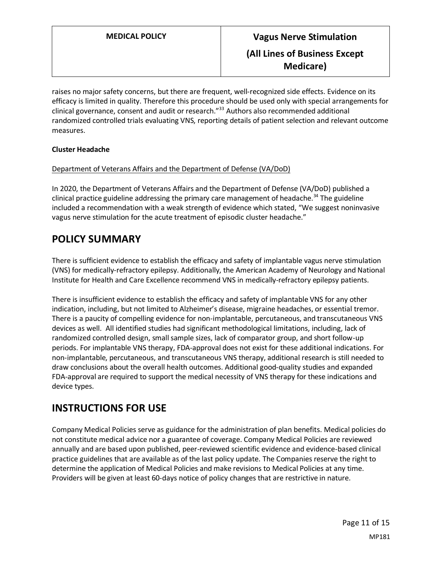raises no major safety concerns, but there are frequent, well-recognized side effects. Evidence on its efficacy is limited in quality. Therefore this procedure should be used only with special arrangements for clinical governance, consent and audit or research." <sup>33</sup> Authors also recommended additional randomized controlled trials evaluating VNS, reporting details of patient selection and relevant outcome measures.

#### **Cluster Headache**

#### Department of Veterans Affairs and the Department of Defense (VA/DoD)

In 2020, the Department of Veterans Affairs and the Department of Defense (VA/DoD) published a clinical practice guideline addressing the primary care management of headache.<sup>34</sup> The guideline included a recommendation with a weak strength of evidence which stated, "We suggest noninvasive vagus nerve stimulation for the acute treatment of episodic cluster headache."

### **POLICY SUMMARY**

There is sufficient evidence to establish the efficacy and safety of implantable vagus nerve stimulation (VNS) for medically-refractory epilepsy. Additionally, the American Academy of Neurology and National Institute for Health and Care Excellence recommend VNS in medically-refractory epilepsy patients.

There is insufficient evidence to establish the efficacy and safety of implantable VNS for any other indication, including, but not limited to Alzheimer's disease, migraine headaches, or essential tremor. There is a paucity of compelling evidence for non-implantable, percutaneous, and transcutaneous VNS devices as well. All identified studies had significant methodological limitations, including, lack of randomized controlled design, small sample sizes, lack of comparator group, and short follow-up periods. For implantable VNS therapy, FDA-approval does not exist for these additional indications. For non-implantable, percutaneous, and transcutaneous VNS therapy, additional research is still needed to draw conclusions about the overall health outcomes. Additional good-quality studies and expanded FDA-approval are required to support the medical necessity of VNS therapy for these indications and device types.

### **INSTRUCTIONS FOR USE**

Company Medical Policies serve as guidance for the administration of plan benefits. Medical policies do not constitute medical advice nor a guarantee of coverage. Company Medical Policies are reviewed annually and are based upon published, peer-reviewed scientific evidence and evidence-based clinical practice guidelines that are available as of the last policy update. The Companies reserve the right to determine the application of Medical Policies and make revisions to Medical Policies at any time. Providers will be given at least 60-days notice of policy changes that are restrictive in nature.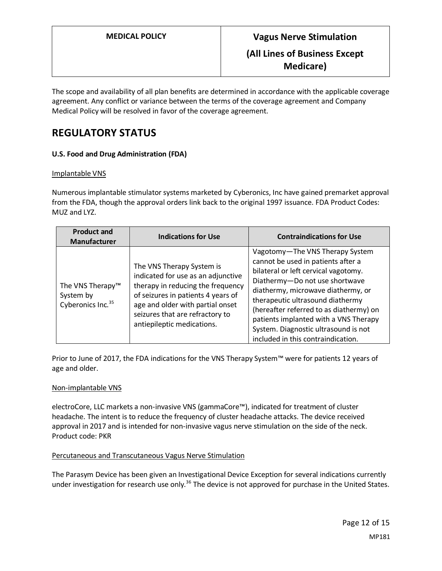The scope and availability of all plan benefits are determined in accordance with the applicable coverage agreement. Any conflict or variance between the terms of the coverage agreement and Company Medical Policy will be resolved in favor of the coverage agreement.

### **REGULATORY STATUS**

### **U.S. Food and Drug Administration (FDA)**

#### Implantable VNS

Numerous implantable stimulator systems marketed by Cyberonics, Inc have gained premarket approval from the FDA, though the approval orders link back to the original 1997 issuance. FDA Product Codes: MUZ and LYZ.

| <b>Product and</b><br><b>Manufacturer</b>                                  | <b>Indications for Use</b>                                                                                                                                                                                                                      | <b>Contraindications for Use</b>                                                                                                                                                                                                                                                                                                                                                            |
|----------------------------------------------------------------------------|-------------------------------------------------------------------------------------------------------------------------------------------------------------------------------------------------------------------------------------------------|---------------------------------------------------------------------------------------------------------------------------------------------------------------------------------------------------------------------------------------------------------------------------------------------------------------------------------------------------------------------------------------------|
| The VNS Therapy <sup>™</sup><br>System by<br>Cyberonics Inc. <sup>35</sup> | The VNS Therapy System is<br>indicated for use as an adjunctive<br>therapy in reducing the frequency<br>of seizures in patients 4 years of<br>age and older with partial onset<br>seizures that are refractory to<br>antiepileptic medications. | Vagotomy-The VNS Therapy System<br>cannot be used in patients after a<br>bilateral or left cervical vagotomy.<br>Diathermy-Do not use shortwave<br>diathermy, microwave diathermy, or<br>therapeutic ultrasound diathermy<br>(hereafter referred to as diathermy) on<br>patients implanted with a VNS Therapy<br>System. Diagnostic ultrasound is not<br>included in this contraindication. |

Prior to June of 2017, the FDA indications for the VNS Therapy System™ were for patients 12 years of age and older.

#### Non-implantable VNS

electroCore, LLC markets a non-invasive VNS (gammaCore™), indicated for treatment of cluster headache. The intent is to reduce the frequency of cluster headache attacks. The device received approval in 2017 and is intended for non-invasive vagus nerve stimulation on the side of the neck. Product code: PKR

### Percutaneous and Transcutaneous Vagus Nerve Stimulation

The Parasym Device has been given an Investigational Device Exception for several indications currently under investigation for research use only.<sup>36</sup> The device is not approved for purchase in the United States.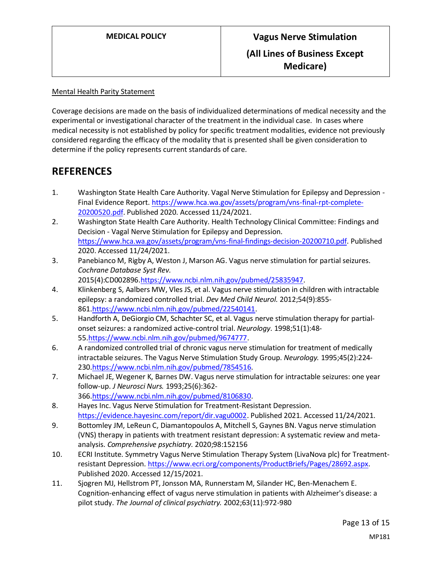Mental Health Parity Statement

Coverage decisions are made on the basis of individualized determinations of medical necessity and the experimental or investigational character of the treatment in the individual case. In cases where medical necessity is not established by policy for specific treatment modalities, evidence not previously considered regarding the efficacy of the modality that is presented shall be given consideration to determine if the policy represents current standards of care.

### **REFERENCES**

- 1. Washington State Health Care Authority. Vagal Nerve Stimulation for Epilepsy and Depression Final Evidence Report. [https://www.hca.wa.gov/assets/program/vns-final-rpt-complete-](https://www.hca.wa.gov/assets/program/vns-final-rpt-complete-20200520.pdf)[20200520.pdf.](https://www.hca.wa.gov/assets/program/vns-final-rpt-complete-20200520.pdf) Published 2020. Accessed 11/24/2021.
- 2. Washington State Health Care Authority. Health Technology Clinical Committee: Findings and Decision - Vagal Nerve Stimulation for Epilepsy and Depression. [https://www.hca.wa.gov/assets/program/vns-final-findings-decision-20200710.pdf.](https://www.hca.wa.gov/assets/program/vns-final-findings-decision-20200710.pdf) Published 2020. Accessed 11/24/2021.
- 3. Panebianco M, Rigby A, Weston J, Marson AG. Vagus nerve stimulation for partial seizures. *Cochrane Database Syst Rev.*  2015(4):CD002896[.https://www.ncbi.nlm.nih.gov/pubmed/25835947.](https://www.ncbi.nlm.nih.gov/pubmed/25835947)
- 4. Klinkenberg S, Aalbers MW, Vles JS, et al. Vagus nerve stimulation in children with intractable epilepsy: a randomized controlled trial. *Dev Med Child Neurol.* 2012;54(9):855- 861[.https://www.ncbi.nlm.nih.gov/pubmed/22540141.](https://www.ncbi.nlm.nih.gov/pubmed/22540141)
- 5. Handforth A, DeGiorgio CM, Schachter SC, et al. Vagus nerve stimulation therapy for partialonset seizures: a randomized active-control trial. *Neurology.* 1998;51(1):48- 55[.https://www.ncbi.nlm.nih.gov/pubmed/9674777.](https://www.ncbi.nlm.nih.gov/pubmed/9674777)
- 6. A randomized controlled trial of chronic vagus nerve stimulation for treatment of medically intractable seizures. The Vagus Nerve Stimulation Study Group. *Neurology.* 1995;45(2):224- 230[.https://www.ncbi.nlm.nih.gov/pubmed/7854516.](https://www.ncbi.nlm.nih.gov/pubmed/7854516)
- 7. Michael JE, Wegener K, Barnes DW. Vagus nerve stimulation for intractable seizures: one year follow-up. *J Neurosci Nurs.* 1993;25(6):362- 366[.https://www.ncbi.nlm.nih.gov/pubmed/8106830.](https://www.ncbi.nlm.nih.gov/pubmed/8106830)
- 8. Hayes Inc. Vagus Nerve Stimulation for Treatment-Resistant Depression. [https://evidence.hayesinc.com/report/dir.vagu0002.](https://evidence.hayesinc.com/report/dir.vagu0002) Published 2021. Accessed 11/24/2021.
- 9. Bottomley JM, LeReun C, Diamantopoulos A, Mitchell S, Gaynes BN. Vagus nerve stimulation (VNS) therapy in patients with treatment resistant depression: A systematic review and metaanalysis. *Comprehensive psychiatry.* 2020;98:152156
- 10. ECRI Institute. Symmetry Vagus Nerve Stimulation Therapy System (LivaNova plc) for Treatmentresistant Depression[. https://www.ecri.org/components/ProductBriefs/Pages/28692.aspx.](https://www.ecri.org/components/ProductBriefs/Pages/28692.aspx) Published 2020. Accessed 12/15/2021.
- 11. Sjogren MJ, Hellstrom PT, Jonsson MA, Runnerstam M, Silander HC, Ben-Menachem E. Cognition-enhancing effect of vagus nerve stimulation in patients with Alzheimer's disease: a pilot study. *The Journal of clinical psychiatry.* 2002;63(11):972-980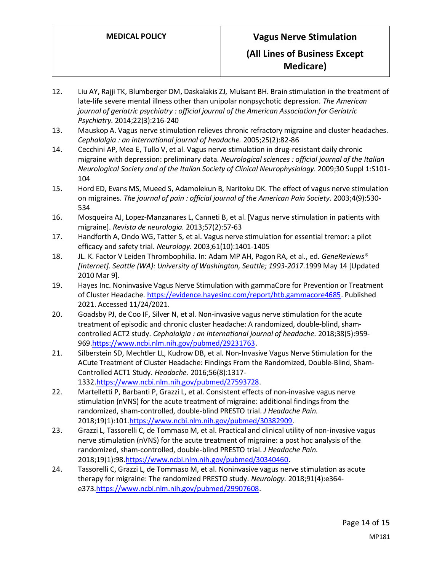- 12. Liu AY, Rajji TK, Blumberger DM, Daskalakis ZJ, Mulsant BH. Brain stimulation in the treatment of late-life severe mental illness other than unipolar nonpsychotic depression. *The American journal of geriatric psychiatry : official journal of the American Association for Geriatric Psychiatry.* 2014;22(3):216-240
- 13. Mauskop A. Vagus nerve stimulation relieves chronic refractory migraine and cluster headaches. *Cephalalgia : an international journal of headache.* 2005;25(2):82-86
- 14. Cecchini AP, Mea E, Tullo V, et al. Vagus nerve stimulation in drug-resistant daily chronic migraine with depression: preliminary data. *Neurological sciences : official journal of the Italian Neurological Society and of the Italian Society of Clinical Neurophysiology.* 2009;30 Suppl 1:S101- 104
- 15. Hord ED, Evans MS, Mueed S, Adamolekun B, Naritoku DK. The effect of vagus nerve stimulation on migraines. *The journal of pain : official journal of the American Pain Society.* 2003;4(9):530- 534
- 16. Mosqueira AJ, Lopez-Manzanares L, Canneti B, et al. [Vagus nerve stimulation in patients with migraine]. *Revista de neurologia.* 2013;57(2):57-63
- 17. Handforth A, Ondo WG, Tatter S, et al. Vagus nerve stimulation for essential tremor: a pilot efficacy and safety trial. *Neurology.* 2003;61(10):1401-1405
- 18. JL. K. Factor V Leiden Thrombophilia. In: Adam MP AH, Pagon RA, et al., ed. *GeneReviews® [Internet]. Seattle (WA): University of Washington, Seattle; 1993-2017.*1999 May 14 [Updated 2010 Mar 9].
- 19. Hayes Inc. Noninvasive Vagus Nerve Stimulation with gammaCore for Prevention or Treatment of Cluster Headache[. https://evidence.hayesinc.com/report/htb.gammacore4685.](https://evidence.hayesinc.com/report/htb.gammacore4685) Published 2021. Accessed 11/24/2021.
- 20. Goadsby PJ, de Coo IF, Silver N, et al. Non-invasive vagus nerve stimulation for the acute treatment of episodic and chronic cluster headache: A randomized, double-blind, shamcontrolled ACT2 study. *Cephalalgia : an international journal of headache.* 2018;38(5):959- 969[.https://www.ncbi.nlm.nih.gov/pubmed/29231763.](https://www.ncbi.nlm.nih.gov/pubmed/29231763)
- 21. Silberstein SD, Mechtler LL, Kudrow DB, et al. Non-Invasive Vagus Nerve Stimulation for the ACute Treatment of Cluster Headache: Findings From the Randomized, Double-Blind, Sham-Controlled ACT1 Study. *Headache.* 2016;56(8):1317- 1332[.https://www.ncbi.nlm.nih.gov/pubmed/27593728.](https://www.ncbi.nlm.nih.gov/pubmed/27593728)
- 22. Martelletti P, Barbanti P, Grazzi L, et al. Consistent effects of non-invasive vagus nerve stimulation (nVNS) for the acute treatment of migraine: additional findings from the randomized, sham-controlled, double-blind PRESTO trial. *J Headache Pain.*  2018;19(1):101[.https://www.ncbi.nlm.nih.gov/pubmed/30382909.](https://www.ncbi.nlm.nih.gov/pubmed/30382909)
- 23. Grazzi L, Tassorelli C, de Tommaso M, et al. Practical and clinical utility of non-invasive vagus nerve stimulation (nVNS) for the acute treatment of migraine: a post hoc analysis of the randomized, sham-controlled, double-blind PRESTO trial. *J Headache Pain.*  2018;19(1):98[.https://www.ncbi.nlm.nih.gov/pubmed/30340460.](https://www.ncbi.nlm.nih.gov/pubmed/30340460)
- 24. Tassorelli C, Grazzi L, de Tommaso M, et al. Noninvasive vagus nerve stimulation as acute therapy for migraine: The randomized PRESTO study. *Neurology.* 2018;91(4):e364 e373[.https://www.ncbi.nlm.nih.gov/pubmed/29907608.](https://www.ncbi.nlm.nih.gov/pubmed/29907608)